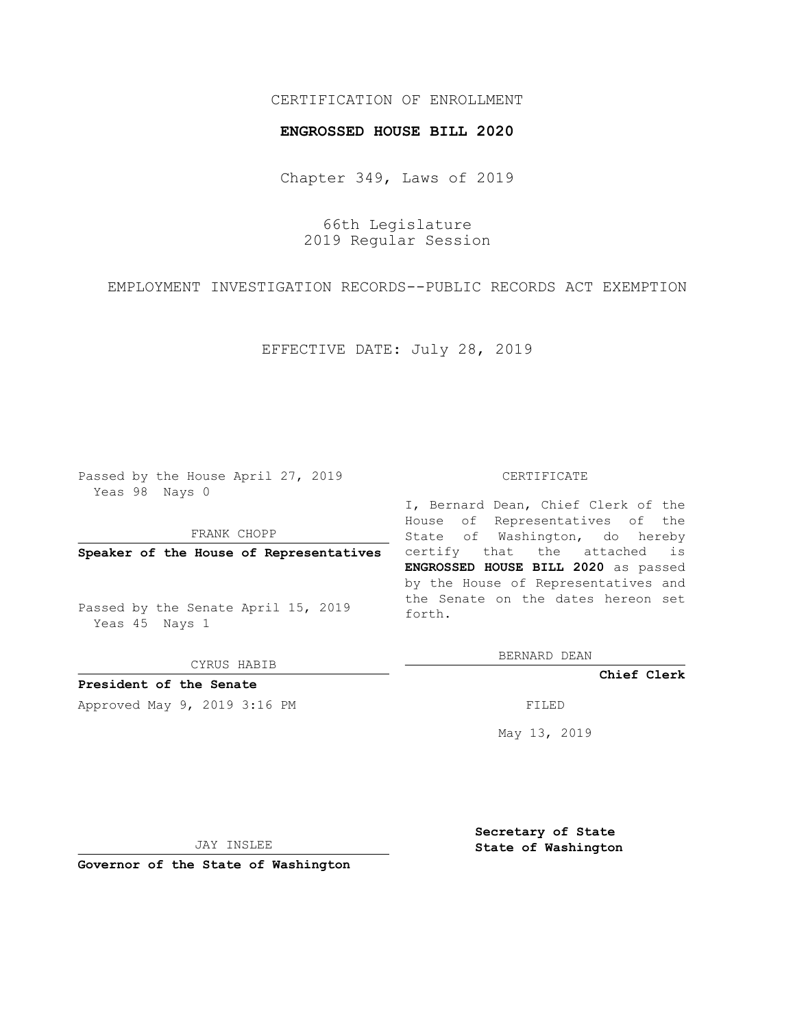## CERTIFICATION OF ENROLLMENT

### **ENGROSSED HOUSE BILL 2020**

Chapter 349, Laws of 2019

66th Legislature 2019 Regular Session

EMPLOYMENT INVESTIGATION RECORDS--PUBLIC RECORDS ACT EXEMPTION

EFFECTIVE DATE: July 28, 2019

Passed by the House April 27, 2019 Yeas 98 Nays 0

FRANK CHOPP

**Speaker of the House of Representatives**

Passed by the Senate April 15, 2019 Yeas 45 Nays 1

CYRUS HABIB

**President of the Senate**

Approved May 9, 2019 3:16 PM

#### CERTIFICATE

I, Bernard Dean, Chief Clerk of the House of Representatives of the State of Washington, do hereby certify that the attached is **ENGROSSED HOUSE BILL 2020** as passed by the House of Representatives and the Senate on the dates hereon set forth.

BERNARD DEAN

**Chief Clerk**

May 13, 2019

JAY INSLEE

**Governor of the State of Washington**

**Secretary of State State of Washington**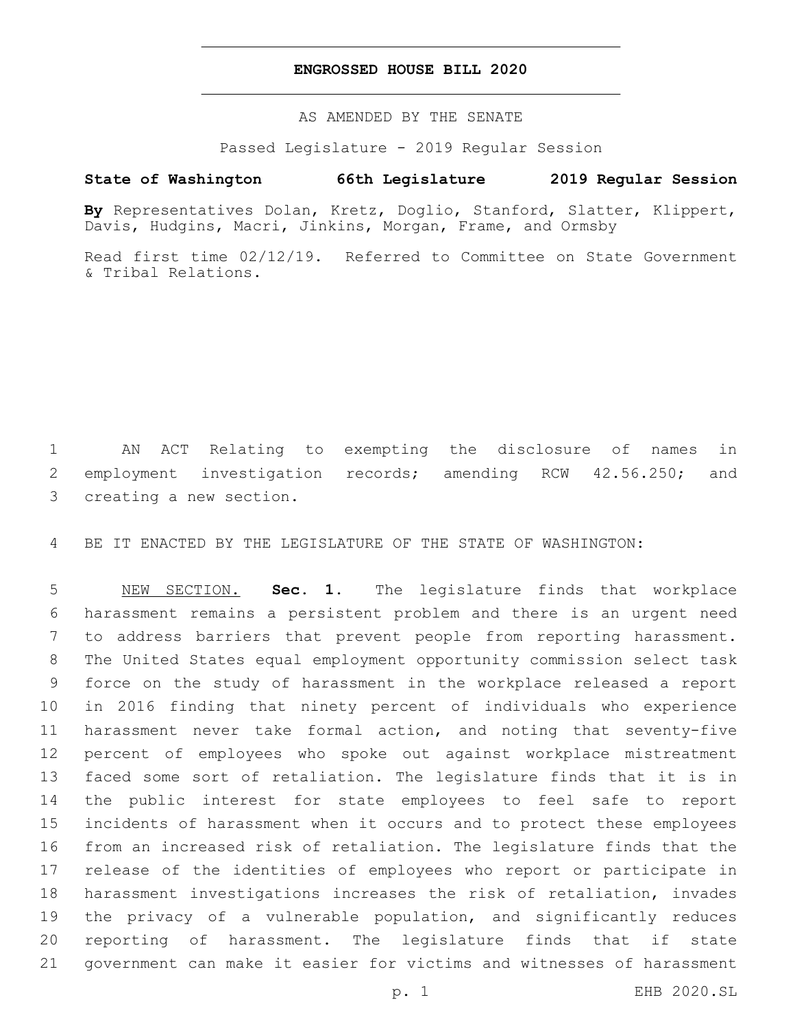## **ENGROSSED HOUSE BILL 2020**

AS AMENDED BY THE SENATE

Passed Legislature - 2019 Regular Session

# **State of Washington 66th Legislature 2019 Regular Session**

**By** Representatives Dolan, Kretz, Doglio, Stanford, Slatter, Klippert, Davis, Hudgins, Macri, Jinkins, Morgan, Frame, and Ormsby

Read first time 02/12/19. Referred to Committee on State Government & Tribal Relations.

 AN ACT Relating to exempting the disclosure of names in employment investigation records; amending RCW 42.56.250; and 3 creating a new section.

BE IT ENACTED BY THE LEGISLATURE OF THE STATE OF WASHINGTON:

 NEW SECTION. **Sec. 1.** The legislature finds that workplace harassment remains a persistent problem and there is an urgent need to address barriers that prevent people from reporting harassment. The United States equal employment opportunity commission select task force on the study of harassment in the workplace released a report in 2016 finding that ninety percent of individuals who experience harassment never take formal action, and noting that seventy-five percent of employees who spoke out against workplace mistreatment faced some sort of retaliation. The legislature finds that it is in the public interest for state employees to feel safe to report incidents of harassment when it occurs and to protect these employees from an increased risk of retaliation. The legislature finds that the release of the identities of employees who report or participate in harassment investigations increases the risk of retaliation, invades the privacy of a vulnerable population, and significantly reduces reporting of harassment. The legislature finds that if state government can make it easier for victims and witnesses of harassment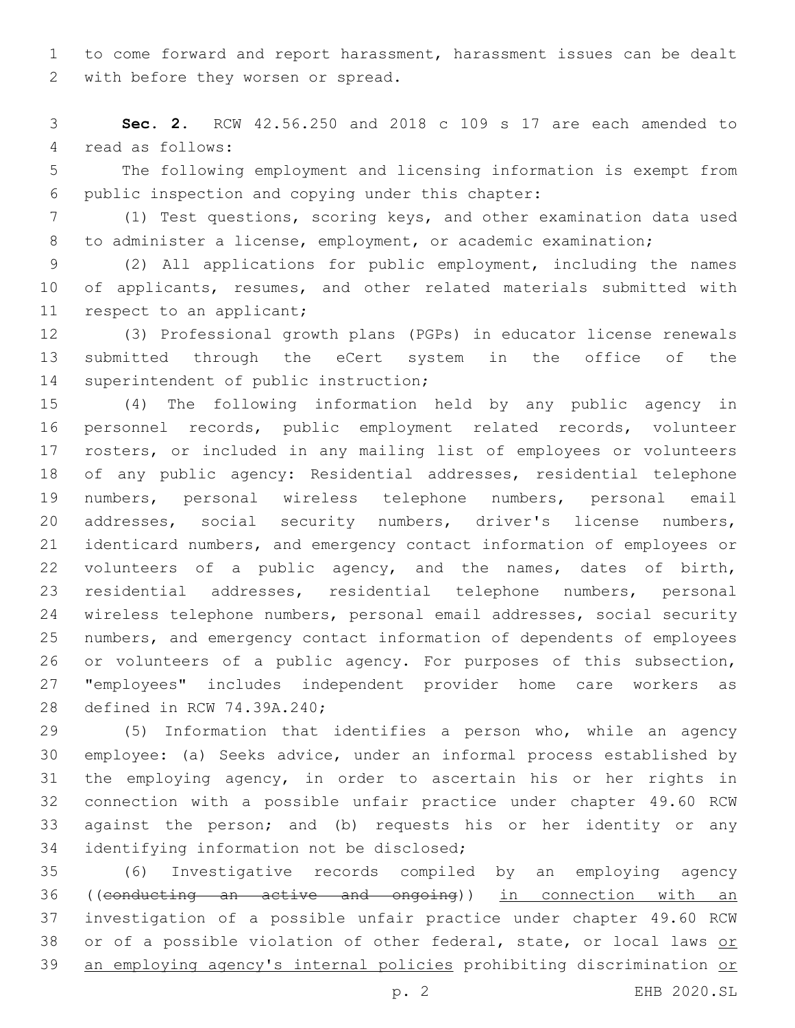to come forward and report harassment, harassment issues can be dealt 2 with before they worsen or spread.

 **Sec. 2.** RCW 42.56.250 and 2018 c 109 s 17 are each amended to 4 read as follows:

 The following employment and licensing information is exempt from 6 public inspection and copying under this chapter:

 (1) Test questions, scoring keys, and other examination data used to administer a license, employment, or academic examination;

 (2) All applications for public employment, including the names 10 of applicants, resumes, and other related materials submitted with 11 respect to an applicant;

 (3) Professional growth plans (PGPs) in educator license renewals submitted through the eCert system in the office of the 14 superintendent of public instruction;

 (4) The following information held by any public agency in personnel records, public employment related records, volunteer rosters, or included in any mailing list of employees or volunteers of any public agency: Residential addresses, residential telephone numbers, personal wireless telephone numbers, personal email addresses, social security numbers, driver's license numbers, identicard numbers, and emergency contact information of employees or volunteers of a public agency, and the names, dates of birth, residential addresses, residential telephone numbers, personal wireless telephone numbers, personal email addresses, social security numbers, and emergency contact information of dependents of employees or volunteers of a public agency. For purposes of this subsection, "employees" includes independent provider home care workers as 28 defined in RCW 74.39A.240;

 (5) Information that identifies a person who, while an agency employee: (a) Seeks advice, under an informal process established by the employing agency, in order to ascertain his or her rights in connection with a possible unfair practice under chapter 49.60 RCW against the person; and (b) requests his or her identity or any 34 identifying information not be disclosed;

 (6) Investigative records compiled by an employing agency ((conducting an active and ongoing)) in connection with an investigation of a possible unfair practice under chapter 49.60 RCW 38 or of a possible violation of other federal, state, or local laws or an employing agency's internal policies prohibiting discrimination or